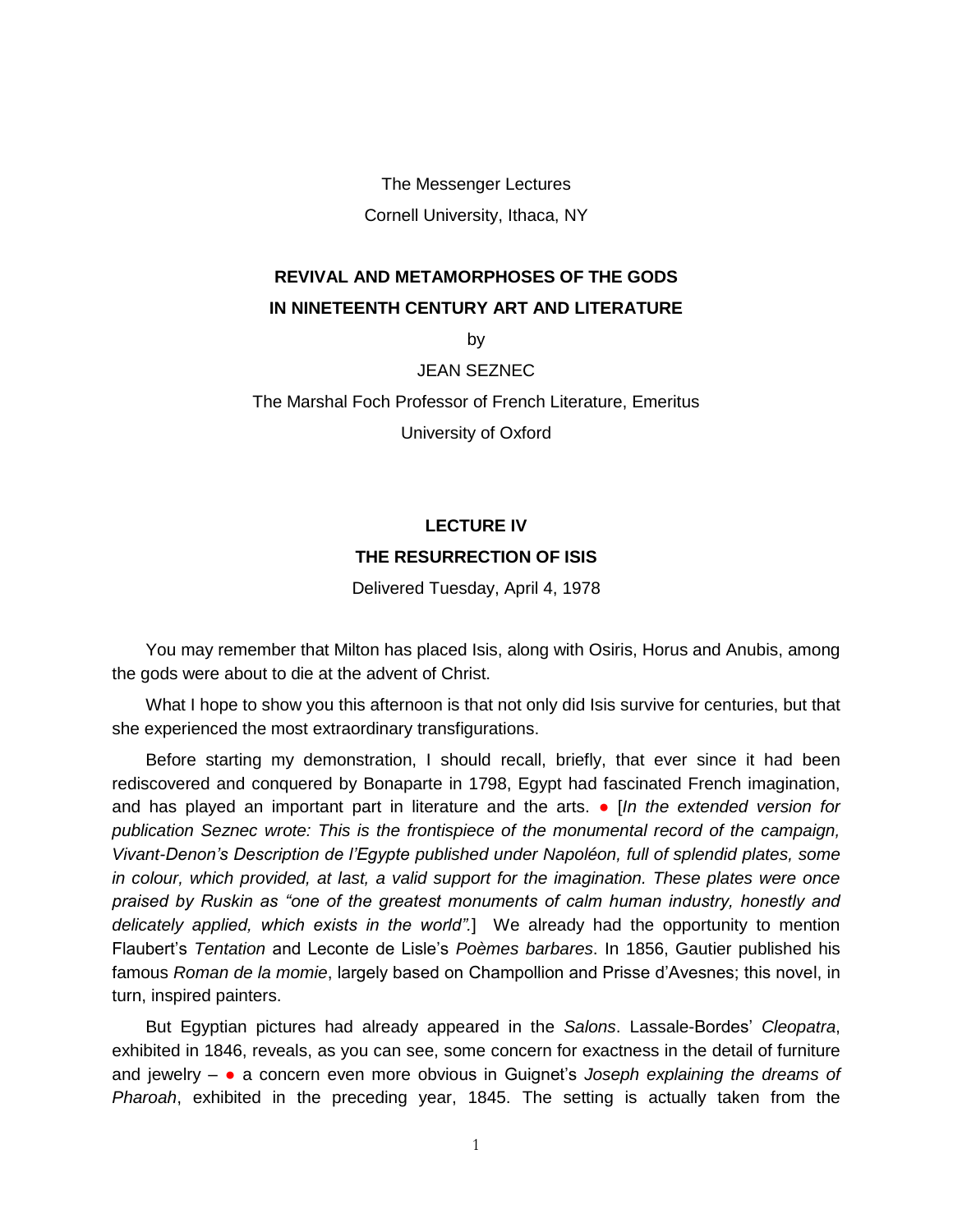The Messenger Lectures Cornell University, Ithaca, NY

## **REVIVAL AND METAMORPHOSES OF THE GODS IN NINETEENTH CENTURY ART AND LITERATURE**

by

JEAN SEZNEC

The Marshal Foch Professor of French Literature, Emeritus

University of Oxford

## **LECTURE IV THE RESURRECTION OF ISIS**

Delivered Tuesday, April 4, 1978

You may remember that Milton has placed Isis, along with Osiris, Horus and Anubis, among the gods were about to die at the advent of Christ.

What I hope to show you this afternoon is that not only did Isis survive for centuries, but that she experienced the most extraordinary transfigurations.

Before starting my demonstration, I should recall, briefly, that ever since it had been rediscovered and conquered by Bonaparte in 1798, Egypt had fascinated French imagination, and has played an important part in literature and the arts. ● [*In the extended version for publication Seznec wrote: This is the frontispiece of the monumental record of the campaign, Vivant-Denon's Description de l'Egypte published under Napoléon, full of splendid plates, some in colour, which provided, at last, a valid support for the imagination. These plates were once praised by Ruskin as "one of the greatest monuments of calm human industry, honestly and delicately applied, which exists in the world".*] We already had the opportunity to mention Flaubert's *Tentation* and Leconte de Lisle's *Poèmes barbares*. In 1856, Gautier published his famous *Roman de la momie*, largely based on Champollion and Prisse d'Avesnes; this novel, in turn, inspired painters.

But Egyptian pictures had already appeared in the *Salons*. Lassale-Bordes' *Cleopatra*, exhibited in 1846, reveals, as you can see, some concern for exactness in the detail of furniture and jewelry – ● a concern even more obvious in Guignet's *Joseph explaining the dreams of Pharoah*, exhibited in the preceding year, 1845. The setting is actually taken from the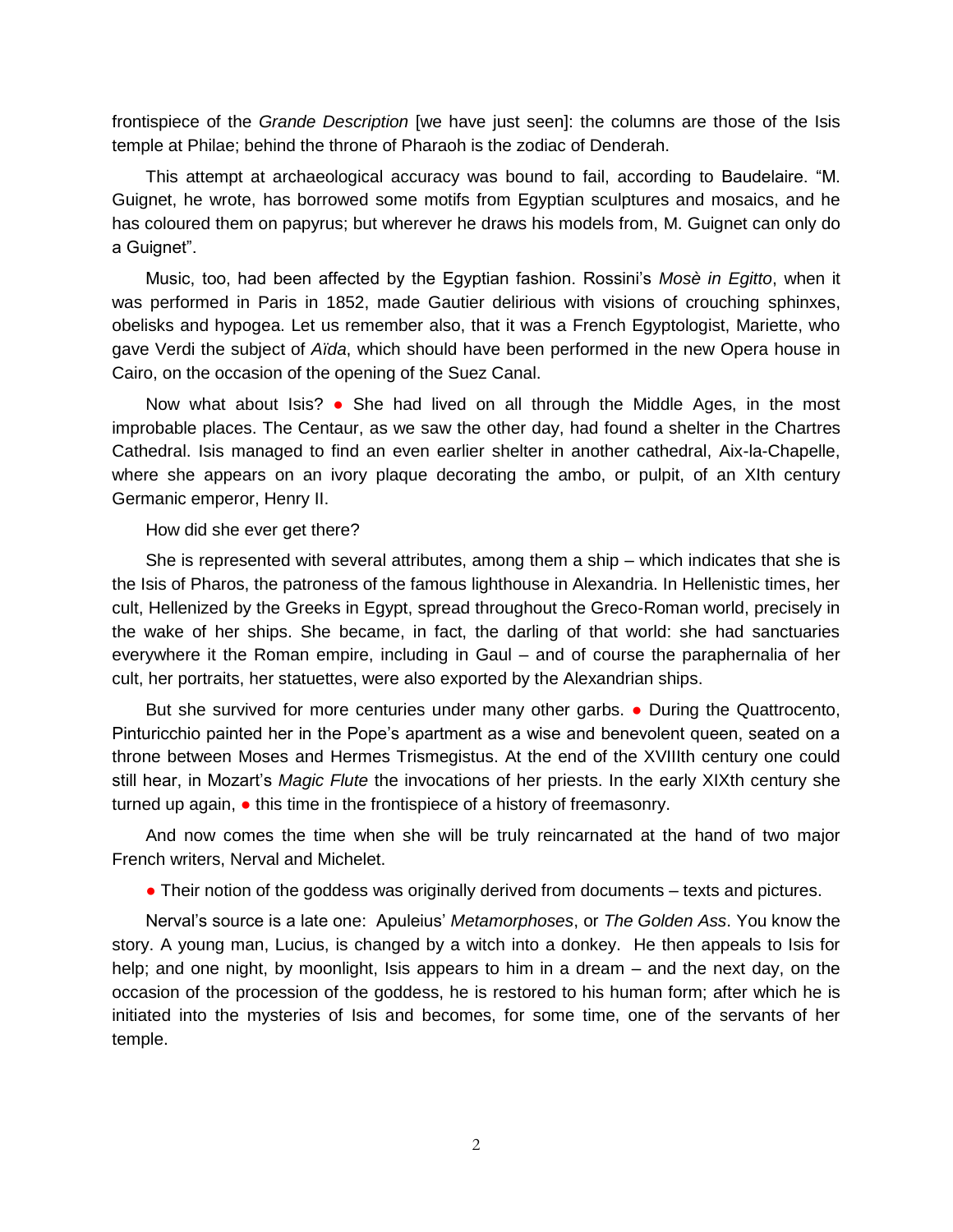frontispiece of the *Grande Description* [we have just seen]: the columns are those of the Isis temple at Philae; behind the throne of Pharaoh is the zodiac of Denderah.

This attempt at archaeological accuracy was bound to fail, according to Baudelaire. "M. Guignet, he wrote, has borrowed some motifs from Egyptian sculptures and mosaics, and he has coloured them on papyrus; but wherever he draws his models from, M. Guignet can only do a Guignet".

Music, too, had been affected by the Egyptian fashion. Rossini's *Mosè in Egitto*, when it was performed in Paris in 1852, made Gautier delirious with visions of crouching sphinxes, obelisks and hypogea. Let us remember also, that it was a French Egyptologist, Mariette, who gave Verdi the subject of *Aïda*, which should have been performed in the new Opera house in Cairo, on the occasion of the opening of the Suez Canal.

Now what about Isis? ● She had lived on all through the Middle Ages, in the most improbable places. The Centaur, as we saw the other day, had found a shelter in the Chartres Cathedral. Isis managed to find an even earlier shelter in another cathedral, Aix-la-Chapelle, where she appears on an ivory plaque decorating the ambo, or pulpit, of an XIth century Germanic emperor, Henry II.

How did she ever get there?

She is represented with several attributes, among them a ship – which indicates that she is the Isis of Pharos, the patroness of the famous lighthouse in Alexandria. In Hellenistic times, her cult, Hellenized by the Greeks in Egypt, spread throughout the Greco-Roman world, precisely in the wake of her ships. She became, in fact, the darling of that world: she had sanctuaries everywhere it the Roman empire, including in Gaul – and of course the paraphernalia of her cult, her portraits, her statuettes, were also exported by the Alexandrian ships.

But she survived for more centuries under many other garbs. ● During the Quattrocento, Pinturicchio painted her in the Pope's apartment as a wise and benevolent queen, seated on a throne between Moses and Hermes Trismegistus. At the end of the XVIIIth century one could still hear, in Mozart's *Magic Flute* the invocations of her priests. In the early XIXth century she turned up again,  $\bullet$  this time in the frontispiece of a history of freemasonry.

And now comes the time when she will be truly reincarnated at the hand of two major French writers, Nerval and Michelet.

• Their notion of the goddess was originally derived from documents – texts and pictures.

Nerval's source is a late one: Apuleius' *Metamorphoses*, or *The Golden Ass*. You know the story. A young man, Lucius, is changed by a witch into a donkey. He then appeals to Isis for help; and one night, by moonlight, Isis appears to him in a dream – and the next day, on the occasion of the procession of the goddess, he is restored to his human form; after which he is initiated into the mysteries of Isis and becomes, for some time, one of the servants of her temple.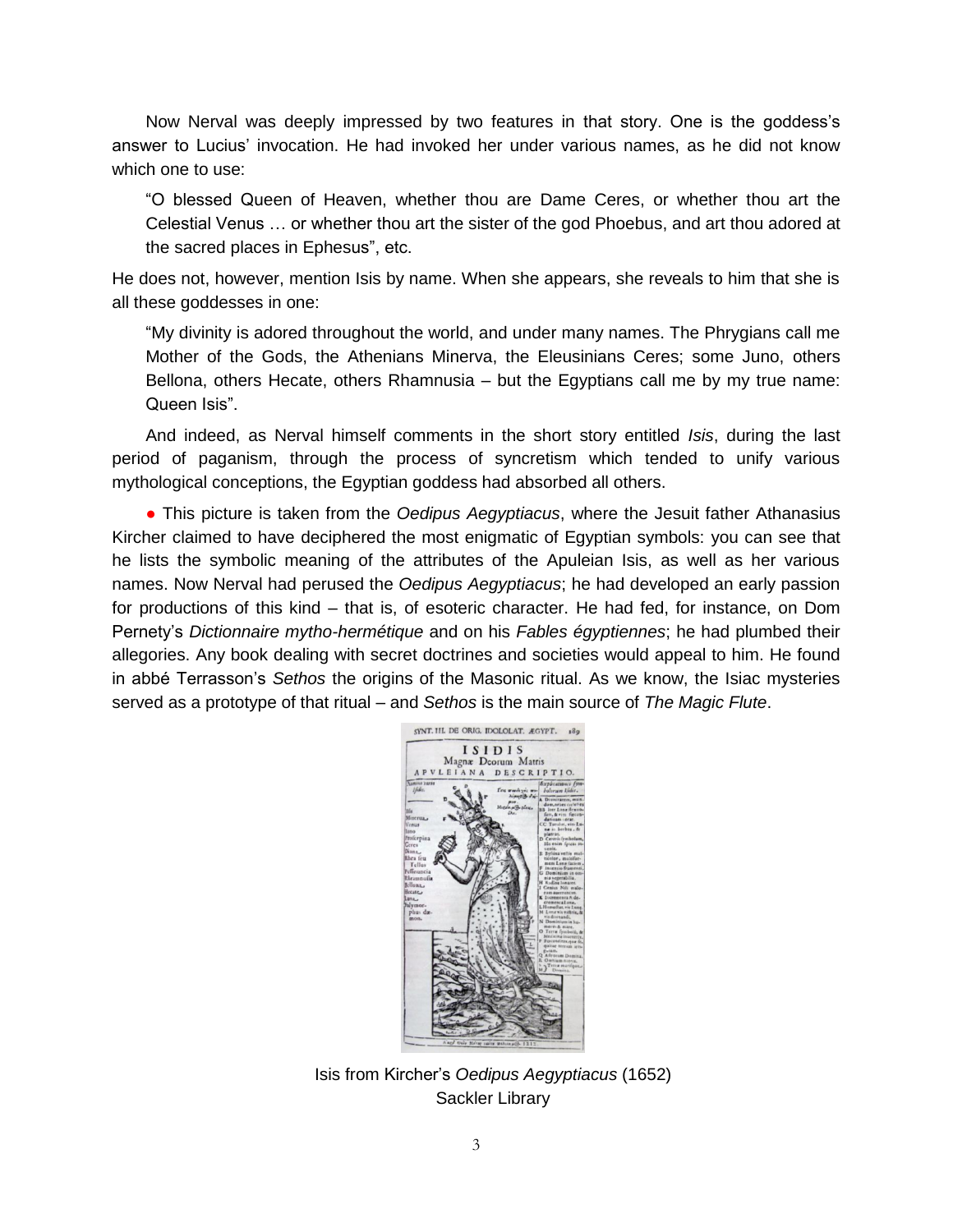Now Nerval was deeply impressed by two features in that story. One is the goddess's answer to Lucius' invocation. He had invoked her under various names, as he did not know which one to use:

"O blessed Queen of Heaven, whether thou are Dame Ceres, or whether thou art the Celestial Venus … or whether thou art the sister of the god Phoebus, and art thou adored at the sacred places in Ephesus", etc.

He does not, however, mention Isis by name. When she appears, she reveals to him that she is all these goddesses in one:

"My divinity is adored throughout the world, and under many names. The Phrygians call me Mother of the Gods, the Athenians Minerva, the Eleusinians Ceres; some Juno, others Bellona, others Hecate, others Rhamnusia – but the Egyptians call me by my true name: Queen Isis".

And indeed, as Nerval himself comments in the short story entitled *Isis*, during the last period of paganism, through the process of syncretism which tended to unify various mythological conceptions, the Egyptian goddess had absorbed all others.

● This picture is taken from the *Oedipus Aegyptiacus*, where the Jesuit father Athanasius Kircher claimed to have deciphered the most enigmatic of Egyptian symbols: you can see that he lists the symbolic meaning of the attributes of the Apuleian Isis, as well as her various names. Now Nerval had perused the *Oedipus Aegyptiacus*; he had developed an early passion for productions of this kind – that is, of esoteric character. He had fed, for instance, on Dom Pernety's *Dictionnaire mytho-hermétique* and on his *Fables égyptiennes*; he had plumbed their allegories. Any book dealing with secret doctrines and societies would appeal to him. He found in abbé Terrasson's *Sethos* the origins of the Masonic ritual. As we know, the Isiac mysteries served as a prototype of that ritual – and *Sethos* is the main source of *The Magic Flute*.



Isis from Kircher's *Oedipus Aegyptiacus* (1652) Sackler Library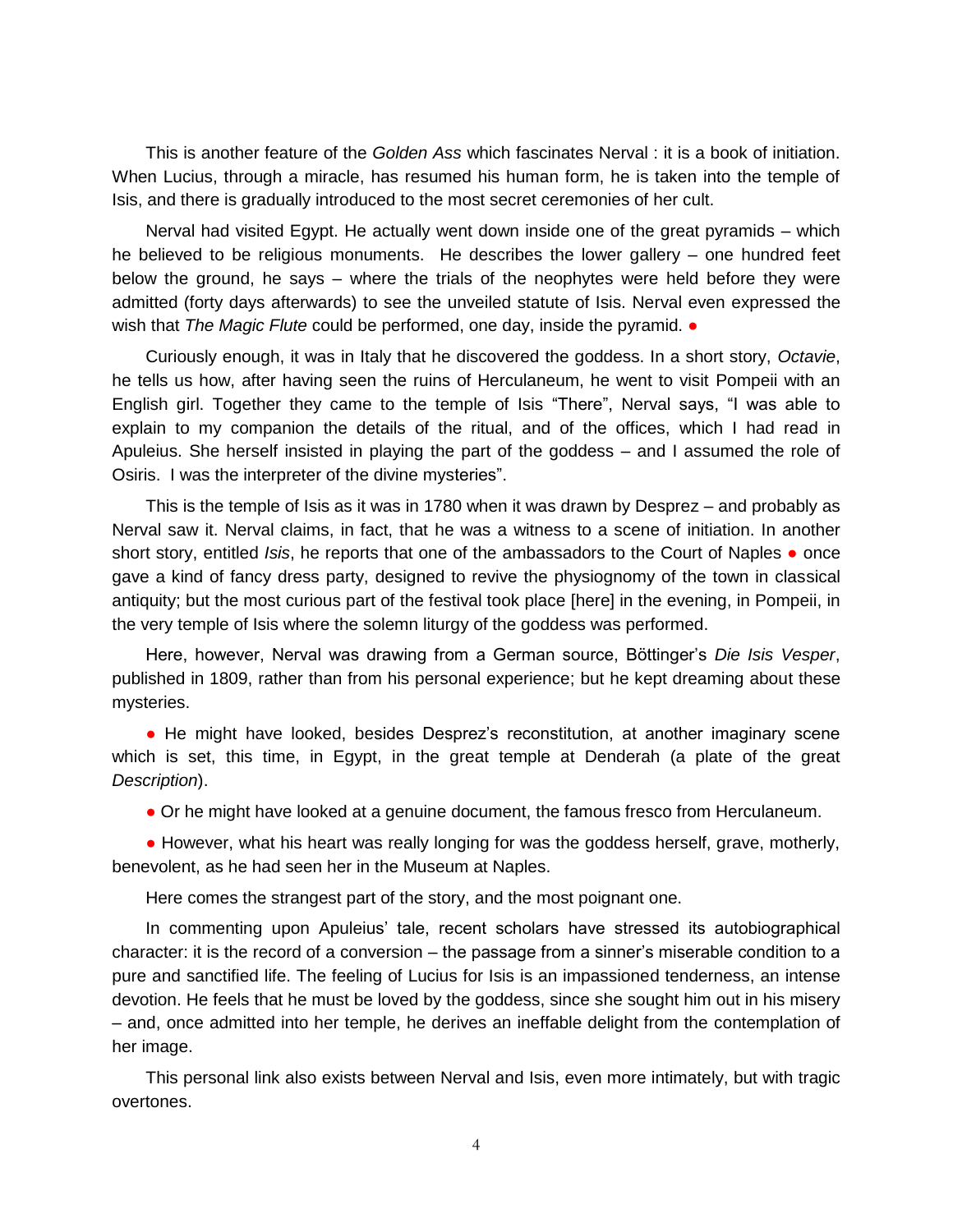This is another feature of the *Golden Ass* which fascinates Nerval : it is a book of initiation. When Lucius, through a miracle, has resumed his human form, he is taken into the temple of Isis, and there is gradually introduced to the most secret ceremonies of her cult.

Nerval had visited Egypt. He actually went down inside one of the great pyramids – which he believed to be religious monuments. He describes the lower gallery – one hundred feet below the ground, he says – where the trials of the neophytes were held before they were admitted (forty days afterwards) to see the unveiled statute of Isis. Nerval even expressed the wish that *The Magic Flute* could be performed, one day, inside the pyramid.  $\bullet$ 

Curiously enough, it was in Italy that he discovered the goddess. In a short story, *Octavie*, he tells us how, after having seen the ruins of Herculaneum, he went to visit Pompeii with an English girl. Together they came to the temple of Isis "There", Nerval says, "I was able to explain to my companion the details of the ritual, and of the offices, which I had read in Apuleius. She herself insisted in playing the part of the goddess – and I assumed the role of Osiris. I was the interpreter of the divine mysteries".

This is the temple of Isis as it was in 1780 when it was drawn by Desprez – and probably as Nerval saw it. Nerval claims, in fact, that he was a witness to a scene of initiation. In another short story, entitled *Isis*, he reports that one of the ambassadors to the Court of Naples • once gave a kind of fancy dress party, designed to revive the physiognomy of the town in classical antiquity; but the most curious part of the festival took place [here] in the evening, in Pompeii, in the very temple of Isis where the solemn liturgy of the goddess was performed.

Here, however, Nerval was drawing from a German source, Böttinger's *Die Isis Vesper*, published in 1809, rather than from his personal experience; but he kept dreaming about these mysteries.

• He might have looked, besides Desprez's reconstitution, at another imaginary scene which is set, this time, in Egypt, in the great temple at Denderah (a plate of the great *Description*).

• Or he might have looked at a genuine document, the famous fresco from Herculaneum.

• However, what his heart was really longing for was the goddess herself, grave, motherly, benevolent, as he had seen her in the Museum at Naples.

Here comes the strangest part of the story, and the most poignant one.

In commenting upon Apuleius' tale, recent scholars have stressed its autobiographical character: it is the record of a conversion – the passage from a sinner's miserable condition to a pure and sanctified life. The feeling of Lucius for Isis is an impassioned tenderness, an intense devotion. He feels that he must be loved by the goddess, since she sought him out in his misery – and, once admitted into her temple, he derives an ineffable delight from the contemplation of her image.

This personal link also exists between Nerval and Isis, even more intimately, but with tragic overtones.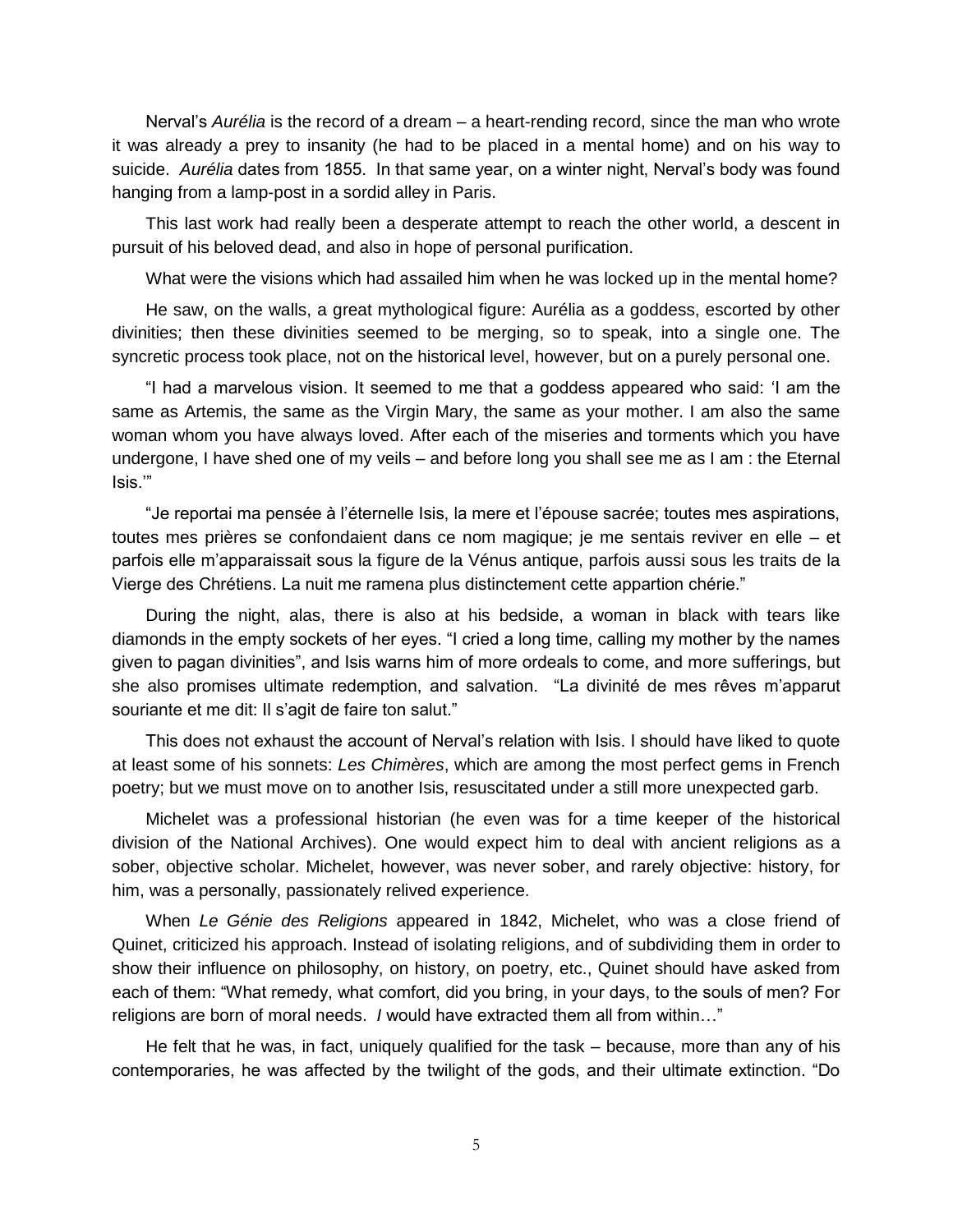Nerval's *Aurélia* is the record of a dream – a heart-rending record, since the man who wrote it was already a prey to insanity (he had to be placed in a mental home) and on his way to suicide. *Aurélia* dates from 1855. In that same year, on a winter night, Nerval's body was found hanging from a lamp-post in a sordid alley in Paris.

This last work had really been a desperate attempt to reach the other world, a descent in pursuit of his beloved dead, and also in hope of personal purification.

What were the visions which had assailed him when he was locked up in the mental home?

He saw, on the walls, a great mythological figure: Aurélia as a goddess, escorted by other divinities; then these divinities seemed to be merging, so to speak, into a single one. The syncretic process took place, not on the historical level, however, but on a purely personal one.

"I had a marvelous vision. It seemed to me that a goddess appeared who said: 'I am the same as Artemis, the same as the Virgin Mary, the same as your mother. I am also the same woman whom you have always loved. After each of the miseries and torments which you have undergone, I have shed one of my veils – and before long you shall see me as I am : the Eternal Isis.'"

"Je reportai ma pensée à l'éternelle Isis, la mere et l'épouse sacrée; toutes mes aspirations, toutes mes prières se confondaient dans ce nom magique; je me sentais reviver en elle – et parfois elle m'apparaissait sous la figure de la Vénus antique, parfois aussi sous les traits de la Vierge des Chrétiens. La nuit me ramena plus distinctement cette appartion chérie."

During the night, alas, there is also at his bedside, a woman in black with tears like diamonds in the empty sockets of her eyes. "I cried a long time, calling my mother by the names given to pagan divinities", and Isis warns him of more ordeals to come, and more sufferings, but she also promises ultimate redemption, and salvation. "La divinité de mes rêves m'apparut souriante et me dit: Il s'agit de faire ton salut."

This does not exhaust the account of Nerval's relation with Isis. I should have liked to quote at least some of his sonnets: *Les Chimères*, which are among the most perfect gems in French poetry; but we must move on to another Isis, resuscitated under a still more unexpected garb.

Michelet was a professional historian (he even was for a time keeper of the historical division of the National Archives). One would expect him to deal with ancient religions as a sober, objective scholar. Michelet, however, was never sober, and rarely objective: history, for him, was a personally, passionately relived experience.

When *Le Génie des Religions* appeared in 1842, Michelet, who was a close friend of Quinet, criticized his approach. Instead of isolating religions, and of subdividing them in order to show their influence on philosophy, on history, on poetry, etc., Quinet should have asked from each of them: "What remedy, what comfort, did you bring, in your days, to the souls of men? For religions are born of moral needs. *I* would have extracted them all from within…"

He felt that he was, in fact, uniquely qualified for the task – because, more than any of his contemporaries, he was affected by the twilight of the gods, and their ultimate extinction. "Do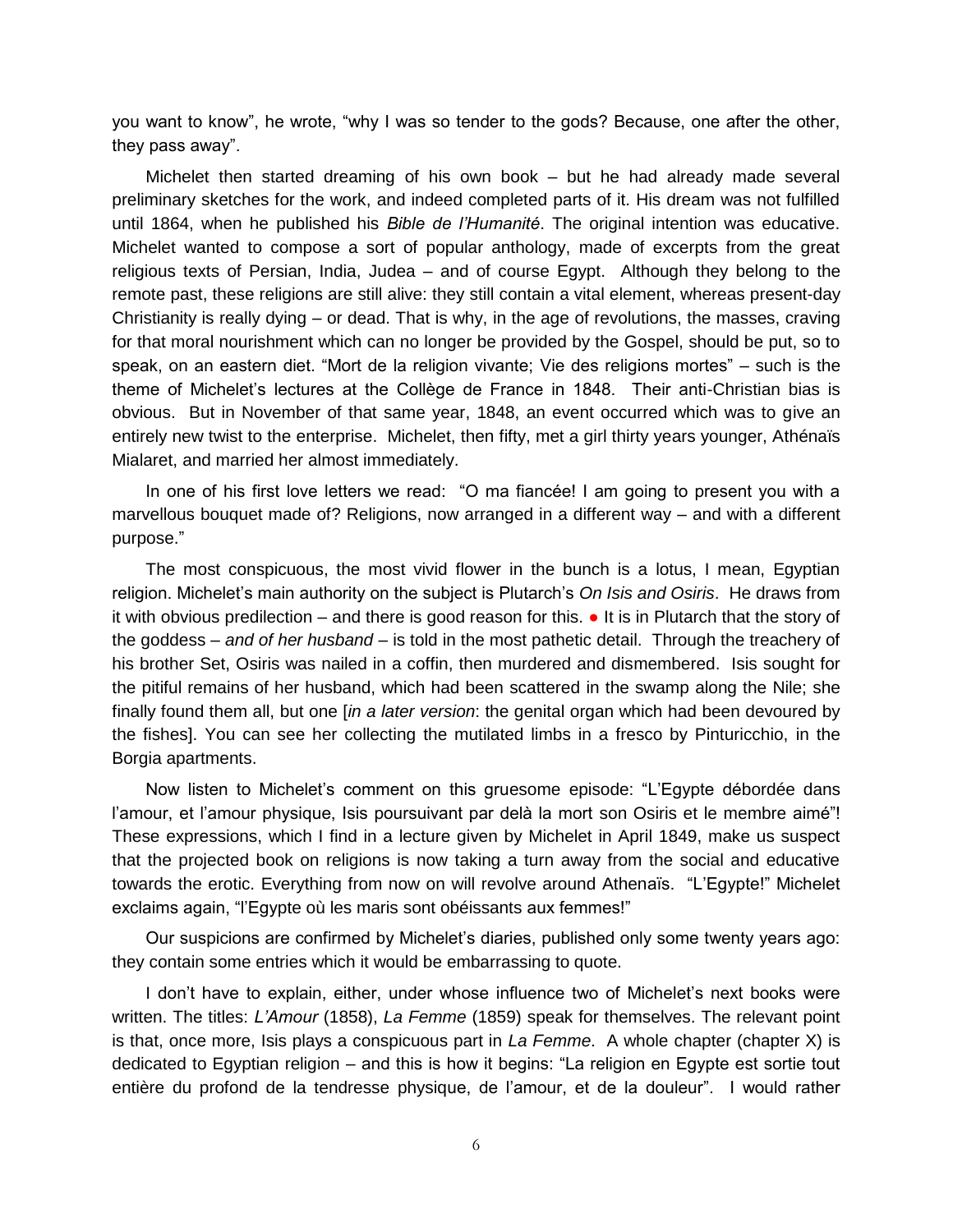you want to know", he wrote, "why I was so tender to the gods? Because, one after the other, they pass away".

Michelet then started dreaming of his own book – but he had already made several preliminary sketches for the work, and indeed completed parts of it. His dream was not fulfilled until 1864, when he published his *Bible de l'Humanité*. The original intention was educative. Michelet wanted to compose a sort of popular anthology, made of excerpts from the great religious texts of Persian, India, Judea – and of course Egypt. Although they belong to the remote past, these religions are still alive: they still contain a vital element, whereas present-day Christianity is really dying – or dead. That is why, in the age of revolutions, the masses, craving for that moral nourishment which can no longer be provided by the Gospel, should be put, so to speak, on an eastern diet. "Mort de la religion vivante; Vie des religions mortes" – such is the theme of Michelet's lectures at the Collège de France in 1848. Their anti-Christian bias is obvious. But in November of that same year, 1848, an event occurred which was to give an entirely new twist to the enterprise. Michelet, then fifty, met a girl thirty years younger, Athénaïs Mialaret, and married her almost immediately.

In one of his first love letters we read: "O ma fiancée! I am going to present you with a marvellous bouquet made of? Religions, now arranged in a different way – and with a different purpose."

The most conspicuous, the most vivid flower in the bunch is a lotus, I mean, Egyptian religion. Michelet's main authority on the subject is Plutarch's *On Isis and Osiris*. He draws from it with obvious predilection – and there is good reason for this. ● It is in Plutarch that the story of the goddess – *and of her husband* – is told in the most pathetic detail. Through the treachery of his brother Set, Osiris was nailed in a coffin, then murdered and dismembered. Isis sought for the pitiful remains of her husband, which had been scattered in the swamp along the Nile; she finally found them all, but one [*in a later version*: the genital organ which had been devoured by the fishes]. You can see her collecting the mutilated limbs in a fresco by Pinturicchio, in the Borgia apartments.

Now listen to Michelet's comment on this gruesome episode: "L'Egypte débordée dans l'amour, et l'amour physique, Isis poursuivant par delà la mort son Osiris et le membre aimé"! These expressions, which I find in a lecture given by Michelet in April 1849, make us suspect that the projected book on religions is now taking a turn away from the social and educative towards the erotic. Everything from now on will revolve around Athenaïs. "L'Egypte!" Michelet exclaims again, "l'Egypte où les maris sont obéissants aux femmes!"

Our suspicions are confirmed by Michelet's diaries, published only some twenty years ago: they contain some entries which it would be embarrassing to quote.

I don't have to explain, either, under whose influence two of Michelet's next books were written. The titles: *L'Amour* (1858), *La Femme* (1859) speak for themselves. The relevant point is that, once more, Isis plays a conspicuous part in *La Femme*. A whole chapter (chapter X) is dedicated to Egyptian religion – and this is how it begins: "La religion en Egypte est sortie tout entière du profond de la tendresse physique, de l'amour, et de la douleur". I would rather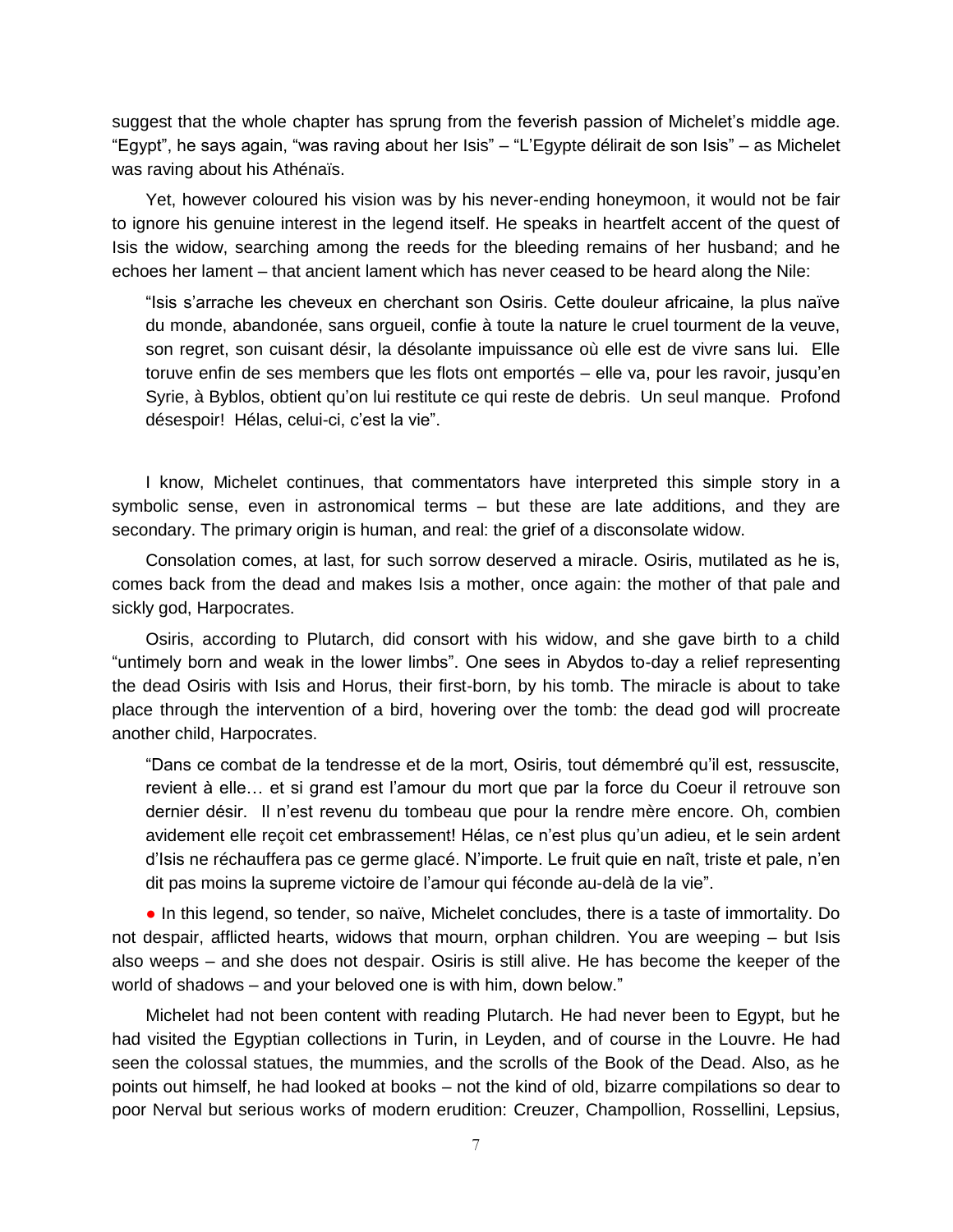suggest that the whole chapter has sprung from the feverish passion of Michelet's middle age. "Egypt", he says again, "was raving about her Isis" – "L'Egypte délirait de son Isis" – as Michelet was raving about his Athénaïs.

Yet, however coloured his vision was by his never-ending honeymoon, it would not be fair to ignore his genuine interest in the legend itself. He speaks in heartfelt accent of the quest of Isis the widow, searching among the reeds for the bleeding remains of her husband; and he echoes her lament – that ancient lament which has never ceased to be heard along the Nile:

"Isis s'arrache les cheveux en cherchant son Osiris. Cette douleur africaine, la plus naïve du monde, abandonée, sans orgueil, confie à toute la nature le cruel tourment de la veuve, son regret, son cuisant désir, la désolante impuissance où elle est de vivre sans lui. Elle toruve enfin de ses members que les flots ont emportés – elle va, pour les ravoir, jusqu'en Syrie, à Byblos, obtient qu'on lui restitute ce qui reste de debris. Un seul manque. Profond désespoir! Hélas, celui-ci, c'est la vie".

I know, Michelet continues, that commentators have interpreted this simple story in a symbolic sense, even in astronomical terms – but these are late additions, and they are secondary. The primary origin is human, and real: the grief of a disconsolate widow.

Consolation comes, at last, for such sorrow deserved a miracle. Osiris, mutilated as he is, comes back from the dead and makes Isis a mother, once again: the mother of that pale and sickly god, Harpocrates.

Osiris, according to Plutarch, did consort with his widow, and she gave birth to a child "untimely born and weak in the lower limbs". One sees in Abydos to-day a relief representing the dead Osiris with Isis and Horus, their first-born, by his tomb. The miracle is about to take place through the intervention of a bird, hovering over the tomb: the dead god will procreate another child, Harpocrates.

"Dans ce combat de la tendresse et de la mort, Osiris, tout démembré qu'il est, ressuscite, revient à elle… et si grand est l'amour du mort que par la force du Coeur il retrouve son dernier désir. Il n'est revenu du tombeau que pour la rendre mère encore. Oh, combien avidement elle reçoit cet embrassement! Hélas, ce n'est plus qu'un adieu, et le sein ardent d'Isis ne réchauffera pas ce germe glacé. N'importe. Le fruit quie en naît, triste et pale, n'en dit pas moins la supreme victoire de l'amour qui féconde au-delà de la vie".

● In this legend, so tender, so naïve, Michelet concludes, there is a taste of immortality. Do not despair, afflicted hearts, widows that mourn, orphan children. You are weeping – but Isis also weeps – and she does not despair. Osiris is still alive. He has become the keeper of the world of shadows – and your beloved one is with him, down below."

Michelet had not been content with reading Plutarch. He had never been to Egypt, but he had visited the Egyptian collections in Turin, in Leyden, and of course in the Louvre. He had seen the colossal statues, the mummies, and the scrolls of the Book of the Dead. Also, as he points out himself, he had looked at books – not the kind of old, bizarre compilations so dear to poor Nerval but serious works of modern erudition: Creuzer, Champollion, Rossellini, Lepsius,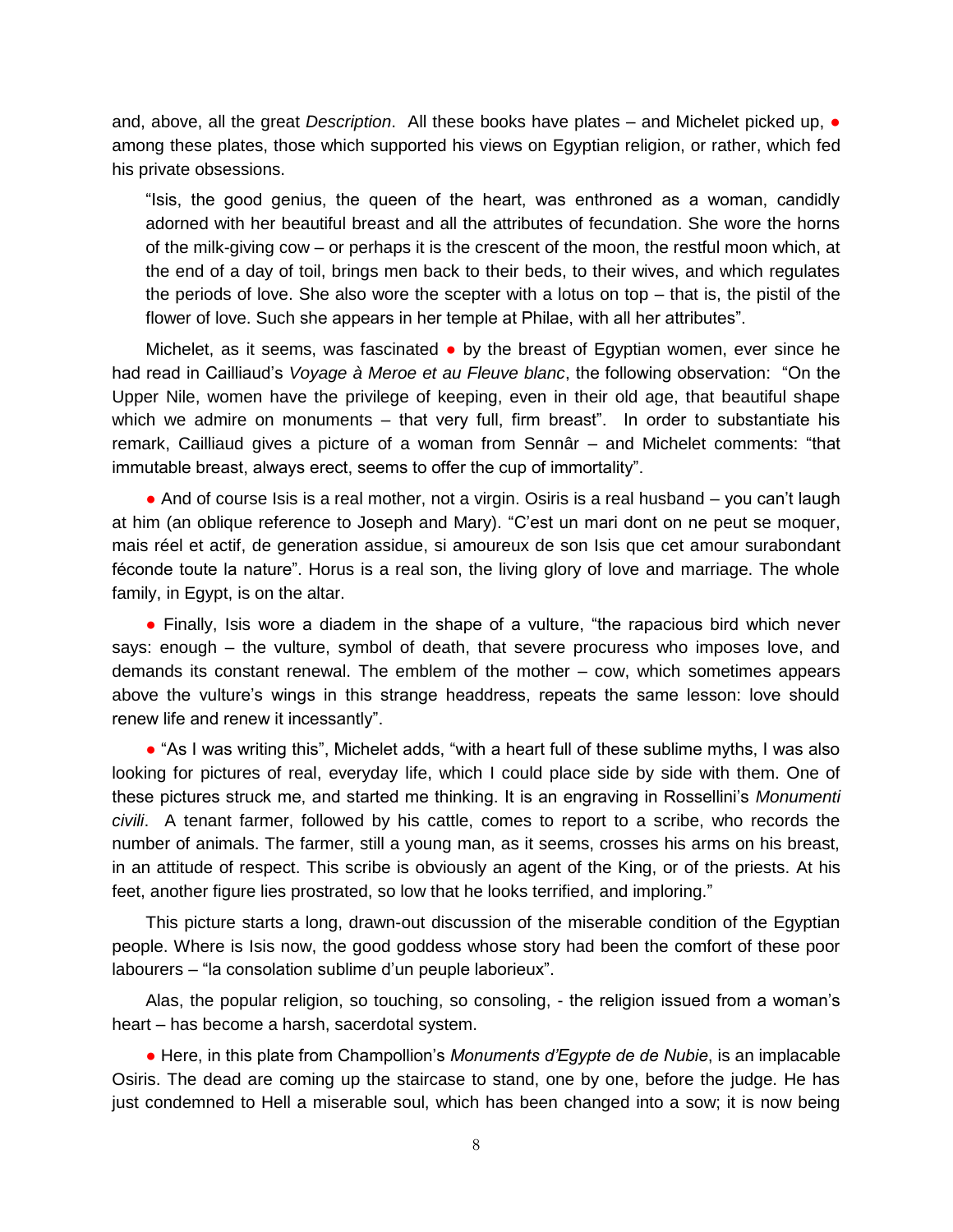and, above, all the great *Description*. All these books have plates – and Michelet picked up, ● among these plates, those which supported his views on Egyptian religion, or rather, which fed his private obsessions.

"Isis, the good genius, the queen of the heart, was enthroned as a woman, candidly adorned with her beautiful breast and all the attributes of fecundation. She wore the horns of the milk-giving cow – or perhaps it is the crescent of the moon, the restful moon which, at the end of a day of toil, brings men back to their beds, to their wives, and which regulates the periods of love. She also wore the scepter with a lotus on top – that is, the pistil of the flower of love. Such she appears in her temple at Philae, with all her attributes".

Michelet, as it seems, was fascinated • by the breast of Egyptian women, ever since he had read in Cailliaud's *Voyage à Meroe et au Fleuve blanc*, the following observation: "On the Upper Nile, women have the privilege of keeping, even in their old age, that beautiful shape which we admire on monuments – that very full, firm breast". In order to substantiate his remark, Cailliaud gives a picture of a woman from Sennâr – and Michelet comments: "that immutable breast, always erect, seems to offer the cup of immortality".

• And of course Isis is a real mother, not a virgin. Osiris is a real husband – you can't laugh at him (an oblique reference to Joseph and Mary). "C'est un mari dont on ne peut se moquer, mais réel et actif, de generation assidue, si amoureux de son Isis que cet amour surabondant féconde toute la nature". Horus is a real son, the living glory of love and marriage. The whole family, in Egypt, is on the altar.

• Finally, Isis wore a diadem in the shape of a vulture, "the rapacious bird which never says: enough – the vulture, symbol of death, that severe procuress who imposes love, and demands its constant renewal. The emblem of the mother – cow, which sometimes appears above the vulture's wings in this strange headdress, repeats the same lesson: love should renew life and renew it incessantly".

● "As I was writing this", Michelet adds, "with a heart full of these sublime myths, I was also looking for pictures of real, everyday life, which I could place side by side with them. One of these pictures struck me, and started me thinking. It is an engraving in Rossellini's *Monumenti civili*. A tenant farmer, followed by his cattle, comes to report to a scribe, who records the number of animals. The farmer, still a young man, as it seems, crosses his arms on his breast, in an attitude of respect. This scribe is obviously an agent of the King, or of the priests. At his feet, another figure lies prostrated, so low that he looks terrified, and imploring."

This picture starts a long, drawn-out discussion of the miserable condition of the Egyptian people. Where is Isis now, the good goddess whose story had been the comfort of these poor labourers – "la consolation sublime d'un peuple laborieux".

Alas, the popular religion, so touching, so consoling, - the religion issued from a woman's heart – has become a harsh, sacerdotal system.

● Here, in this plate from Champollion's *Monuments d'Egypte de de Nubie*, is an implacable Osiris. The dead are coming up the staircase to stand, one by one, before the judge. He has just condemned to Hell a miserable soul, which has been changed into a sow; it is now being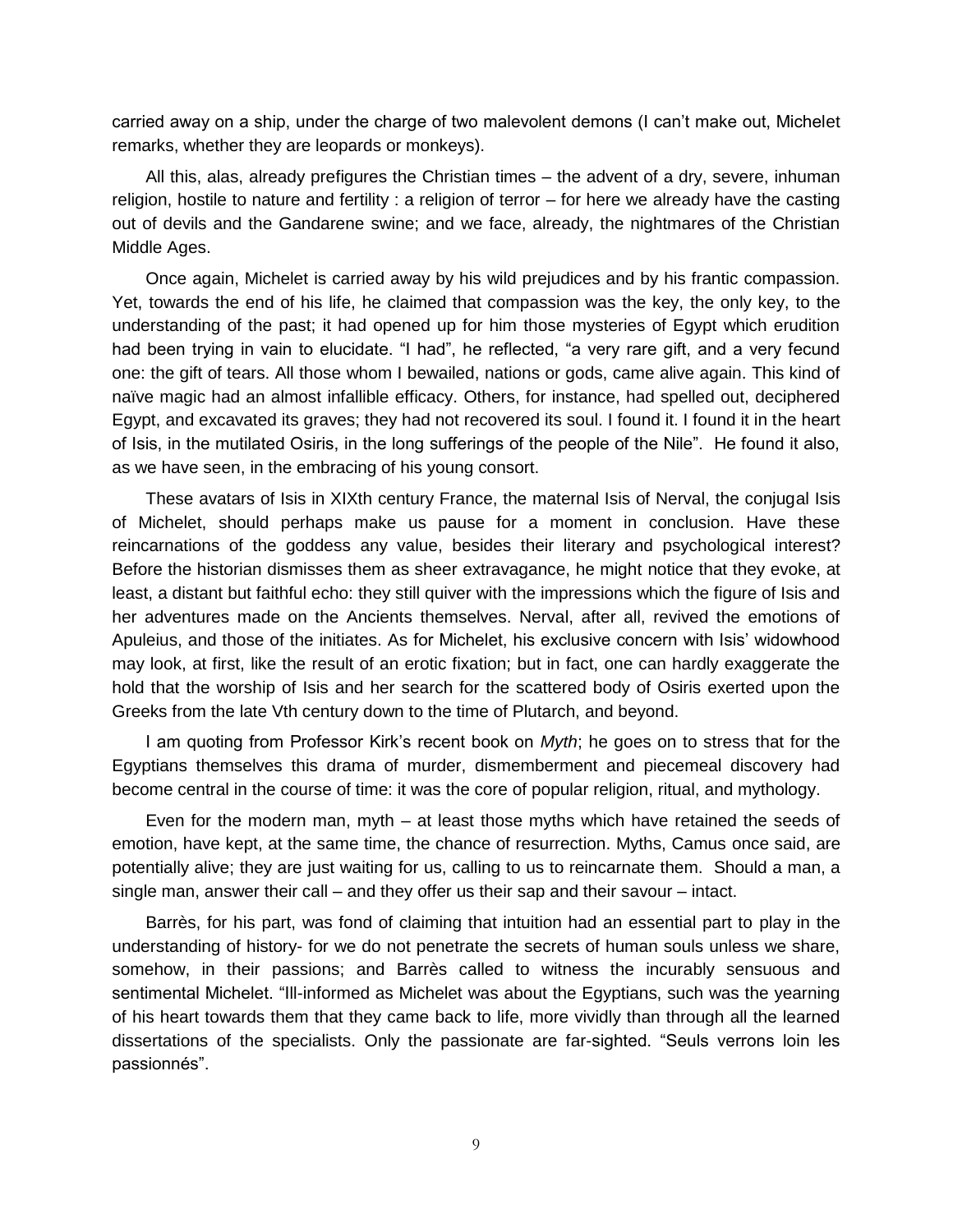carried away on a ship, under the charge of two malevolent demons (I can't make out, Michelet remarks, whether they are leopards or monkeys).

All this, alas, already prefigures the Christian times – the advent of a dry, severe, inhuman religion, hostile to nature and fertility : a religion of terror – for here we already have the casting out of devils and the Gandarene swine; and we face, already, the nightmares of the Christian Middle Ages.

Once again, Michelet is carried away by his wild prejudices and by his frantic compassion. Yet, towards the end of his life, he claimed that compassion was the key, the only key, to the understanding of the past; it had opened up for him those mysteries of Egypt which erudition had been trying in vain to elucidate. "I had", he reflected, "a very rare gift, and a very fecund one: the gift of tears. All those whom I bewailed, nations or gods, came alive again. This kind of naïve magic had an almost infallible efficacy. Others, for instance, had spelled out, deciphered Egypt, and excavated its graves; they had not recovered its soul. I found it. I found it in the heart of Isis, in the mutilated Osiris, in the long sufferings of the people of the Nile". He found it also, as we have seen, in the embracing of his young consort.

These avatars of Isis in XIXth century France, the maternal Isis of Nerval, the conjugal Isis of Michelet, should perhaps make us pause for a moment in conclusion. Have these reincarnations of the goddess any value, besides their literary and psychological interest? Before the historian dismisses them as sheer extravagance, he might notice that they evoke, at least, a distant but faithful echo: they still quiver with the impressions which the figure of Isis and her adventures made on the Ancients themselves. Nerval, after all, revived the emotions of Apuleius, and those of the initiates. As for Michelet, his exclusive concern with Isis' widowhood may look, at first, like the result of an erotic fixation; but in fact, one can hardly exaggerate the hold that the worship of Isis and her search for the scattered body of Osiris exerted upon the Greeks from the late Vth century down to the time of Plutarch, and beyond.

I am quoting from Professor Kirk's recent book on *Myth*; he goes on to stress that for the Egyptians themselves this drama of murder, dismemberment and piecemeal discovery had become central in the course of time: it was the core of popular religion, ritual, and mythology.

Even for the modern man, myth – at least those myths which have retained the seeds of emotion, have kept, at the same time, the chance of resurrection. Myths, Camus once said, are potentially alive; they are just waiting for us, calling to us to reincarnate them. Should a man, a single man, answer their call – and they offer us their sap and their savour – intact.

Barrès, for his part, was fond of claiming that intuition had an essential part to play in the understanding of history- for we do not penetrate the secrets of human souls unless we share, somehow, in their passions; and Barrès called to witness the incurably sensuous and sentimental Michelet. "Ill-informed as Michelet was about the Egyptians, such was the yearning of his heart towards them that they came back to life, more vividly than through all the learned dissertations of the specialists. Only the passionate are far-sighted. "Seuls verrons loin les passionnés".